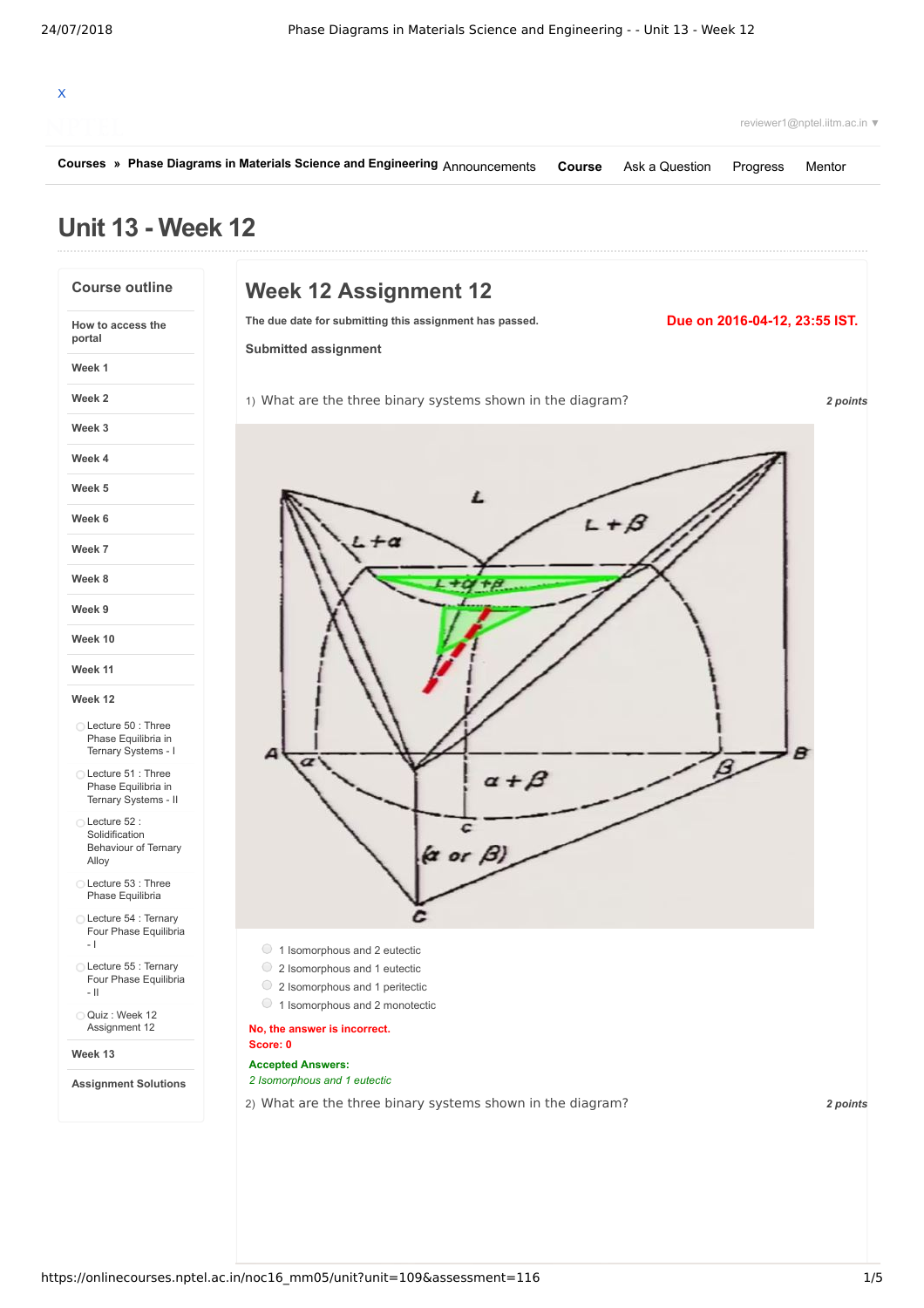|                                                                   | Courses » Phase Diagrams in Materials Science and Engineering Announcements<br>Course<br>Ask a Question<br>Progress | Mentor                        |  |
|-------------------------------------------------------------------|---------------------------------------------------------------------------------------------------------------------|-------------------------------|--|
| <b>Unit 13 - Week 12</b>                                          |                                                                                                                     |                               |  |
| <b>Course outline</b>                                             | <b>Week 12 Assignment 12</b>                                                                                        |                               |  |
| How to access the<br>portal                                       | The due date for submitting this assignment has passed.<br><b>Submitted assignment</b>                              | Due on 2016-04-12, 23:55 IST. |  |
| Week 1                                                            |                                                                                                                     |                               |  |
| Week 2                                                            | 1) What are the three binary systems shown in the diagram?                                                          | 2 points                      |  |
| Week 3                                                            |                                                                                                                     |                               |  |
| Week 4                                                            |                                                                                                                     |                               |  |
| Week 5                                                            |                                                                                                                     |                               |  |
| Week 6                                                            | $+ \beta$                                                                                                           |                               |  |
| Week 7                                                            |                                                                                                                     |                               |  |
| Week 8                                                            |                                                                                                                     |                               |  |
| Week 9                                                            |                                                                                                                     |                               |  |
| Week 10                                                           |                                                                                                                     |                               |  |
| Week 11                                                           |                                                                                                                     |                               |  |
| Week 12                                                           |                                                                                                                     |                               |  |
| Lecture 50 : Three<br>Phase Equilibria in<br>Ternary Systems - I  |                                                                                                                     |                               |  |
| Lecture 51 : Three<br>Phase Equilibria in<br>Ternary Systems - II |                                                                                                                     |                               |  |
| Lecture 52:<br>Solidification<br>Behaviour of Ternary<br>Alloy    | c<br>$(a \text{ or } \beta)$                                                                                        |                               |  |
| ◯ Lecture 53 : Three<br>Phase Equilibria                          |                                                                                                                     |                               |  |
| ◯ Lecture 54 : Ternary<br>Four Phase Equilibria<br>$-1$           |                                                                                                                     |                               |  |
| Lecture 55 : Ternary<br>Four Phase Equilibria                     | 1 Isomorphous and 2 eutectic<br>2 Isomorphous and 1 eutectic<br>2 Isomorphous and 1 peritectic                      |                               |  |
| $-$ H<br>Quiz: Week 12                                            | ○ 1 Isomorphous and 2 monotectic                                                                                    |                               |  |
| Assignment 12<br>Week 13                                          | No, the answer is incorrect.<br>Score: 0                                                                            |                               |  |
| <b>Assignment Solutions</b>                                       | <b>Accepted Answers:</b><br>2 Isomorphous and 1 eutectic                                                            |                               |  |
|                                                                   | 2) What are the three binary systems shown in the diagram?                                                          | 2 points                      |  |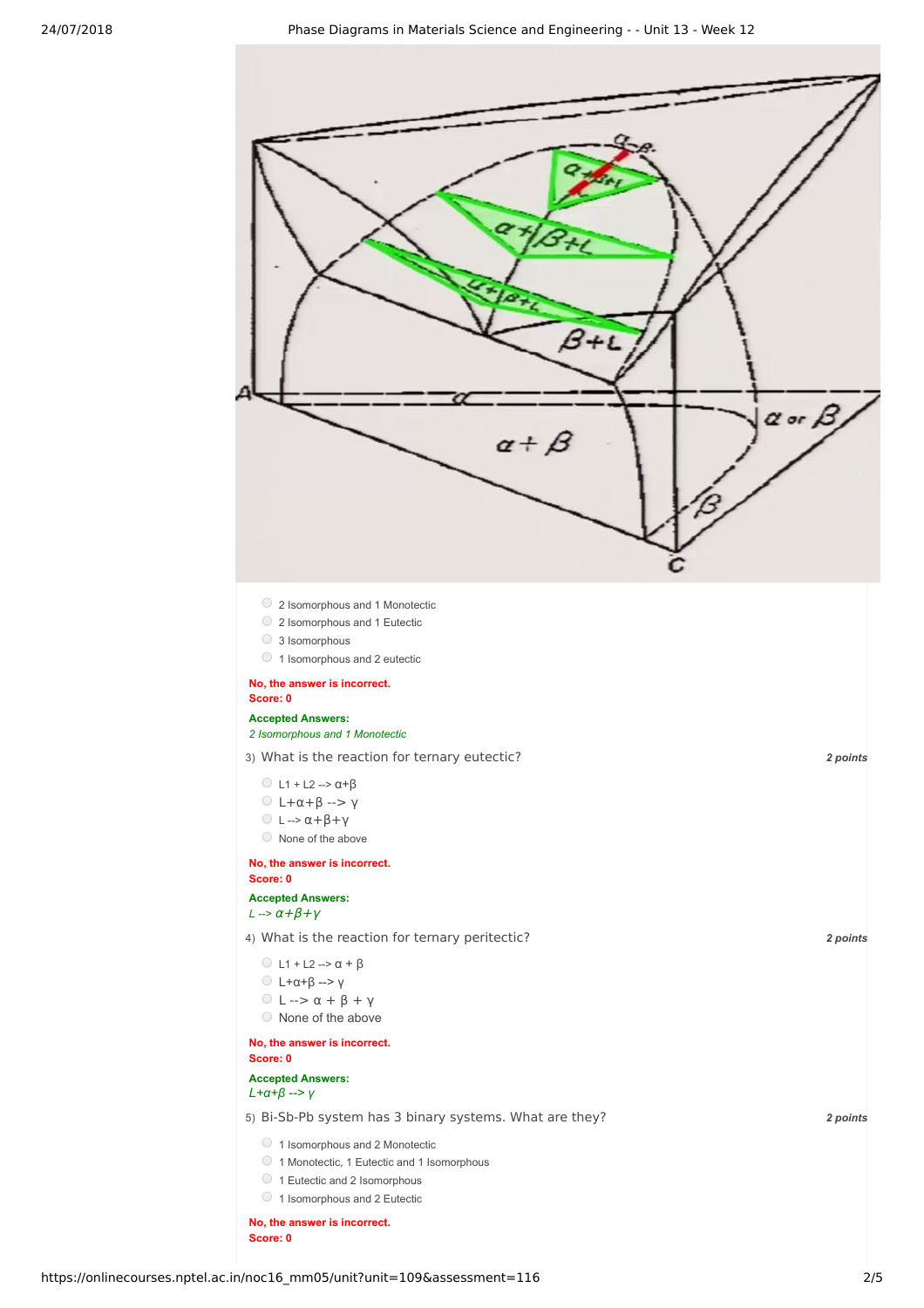

**No, the answer is incorrect. Score: 0**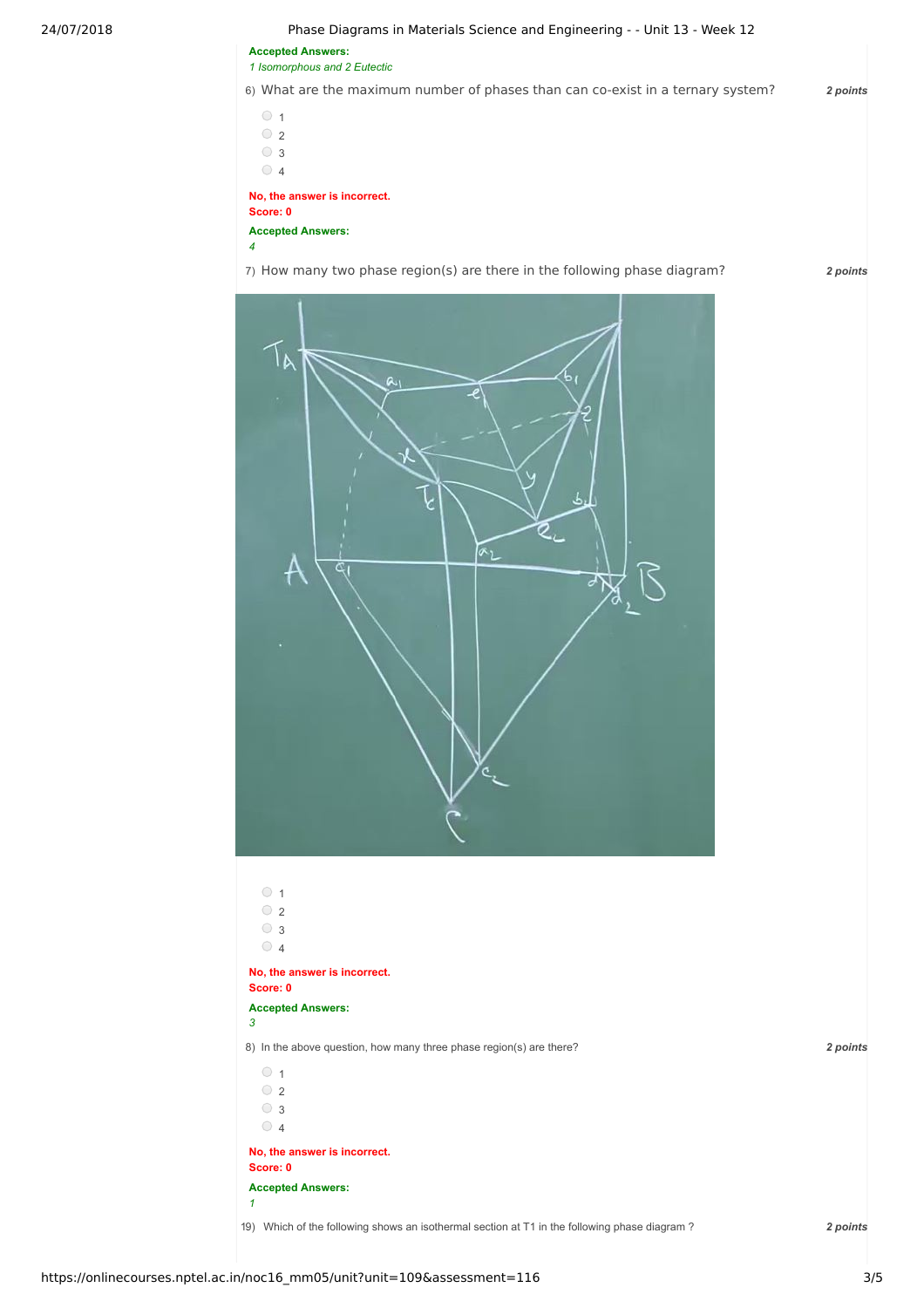24/07/2018 Phase Diagrams in Materials Science and Engineering - - Unit 13 - Week 12

**Accepted Answers:** *1 Isomorphous and 2 Eutectic*

6) *2 points* What are the maximum number of phases than can co-exist in a ternary system?

 $\circ$  1  $\bigcirc$  2 3  $\circ$  4 **No, the answer is incorrect. Score: 0**

**Accepted Answers:** *4*

7) *2 points* How many two phase region(s) are there in the following phase diagram?



8) *2 points* In the above question, how many three phase region(s) are there?  $\circ$  1  $\circ$  2 ○ <sub>3</sub>  $\circ$  4 **No, the answer is incorrect. Score: 0 Accepted Answers:** *3*  $\circ$  1  $\bigcirc$  2 3  $\circ$  4 **No, the answer is incorrect. Score: 0 Accepted Answers:** *1*

19) Which of the following shows an isothermal section at T1 in the following phase diagram ? 2 points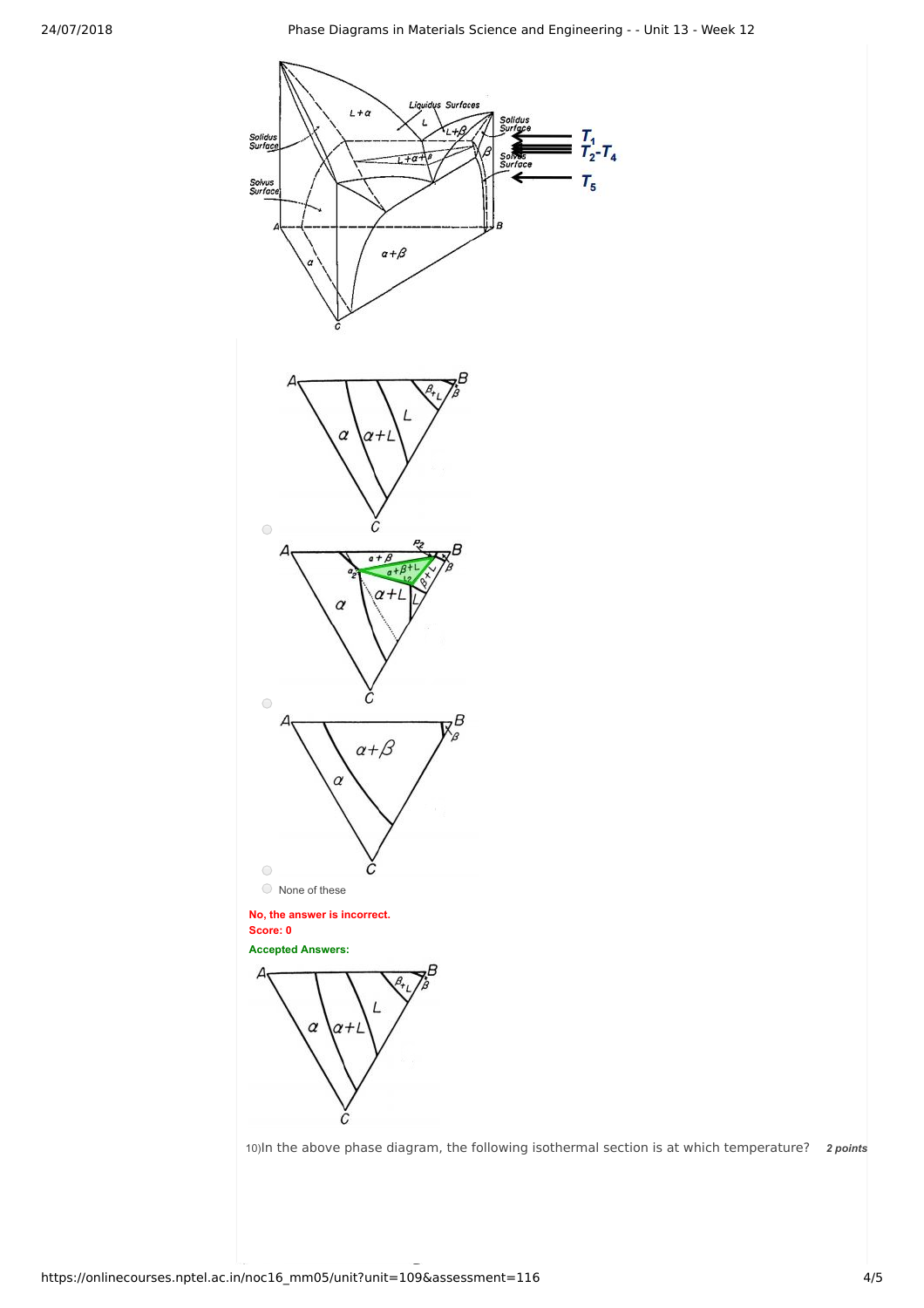

10) In the above phase diagram, the following isothermal section is at which temperature? 2 points